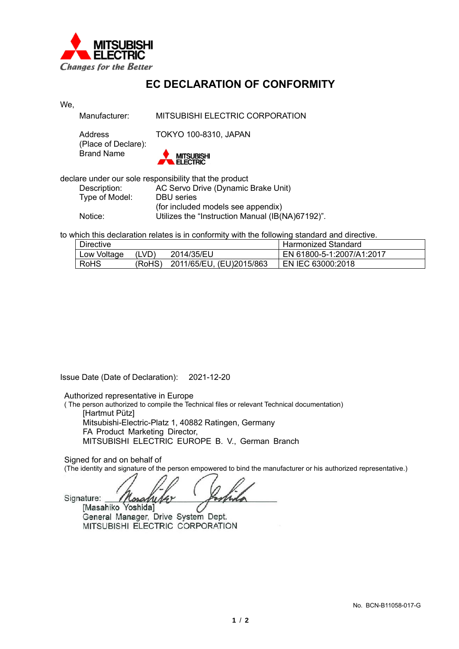

## **EC DECLARATION OF CONFORMITY**

| We, |                                                        |                                                  |  |  |  |  |  |  |
|-----|--------------------------------------------------------|--------------------------------------------------|--|--|--|--|--|--|
|     | Manufacturer:                                          | MITSUBISHI ELECTRIC CORPORATION                  |  |  |  |  |  |  |
|     | Address<br>(Place of Declare):                         | <b>TOKYO 100-8310, JAPAN</b>                     |  |  |  |  |  |  |
|     | <b>Brand Name</b>                                      | <b>MITSUBISHI</b><br><b>FI FCTRIC</b>            |  |  |  |  |  |  |
|     | declare under our sole responsibility that the product |                                                  |  |  |  |  |  |  |
|     | Description:                                           | AC Servo Drive (Dynamic Brake Unit)              |  |  |  |  |  |  |
|     | Type of Model:                                         | <b>DBU</b> series                                |  |  |  |  |  |  |
|     |                                                        | (for included models see appendix)               |  |  |  |  |  |  |
|     | Notice:                                                | Utilizes the "Instruction Manual (IB(NA)67192)". |  |  |  |  |  |  |

to which this declaration relates is in conformity with the following standard and directive.

| <b>Directive</b> |        |                          | Harmonized Standard       |
|------------------|--------|--------------------------|---------------------------|
| Low Voltage      | (LVD)  | 2014/35/EU               | EN 61800-5-1:2007/A1:2017 |
| <b>RoHS</b>      | (RoHS) | 2011/65/EU, (EU)2015/863 | EN IEC 63000:2018         |

Issue Date (Date of Declaration): 2021-12-20

Authorized representative in Europe

( The person authorized to compile the Technical files or relevant Technical documentation) [Hartmut Pütz] Mitsubishi-Electric-Platz 1, 40882 Ratingen, Germany FA Product Marketing Director, MITSUBISHI ELECTRIC EUROPE B. V., German Branch

Signed for and on behalf of

(The identity and signature of the person empowered to bind the manufacturer or his authorized representative.)

Signature: w [Masahiko Yoshida]

General Manager, Drive System Dept. MITSUBISHI ELECTRIC CORPORATION